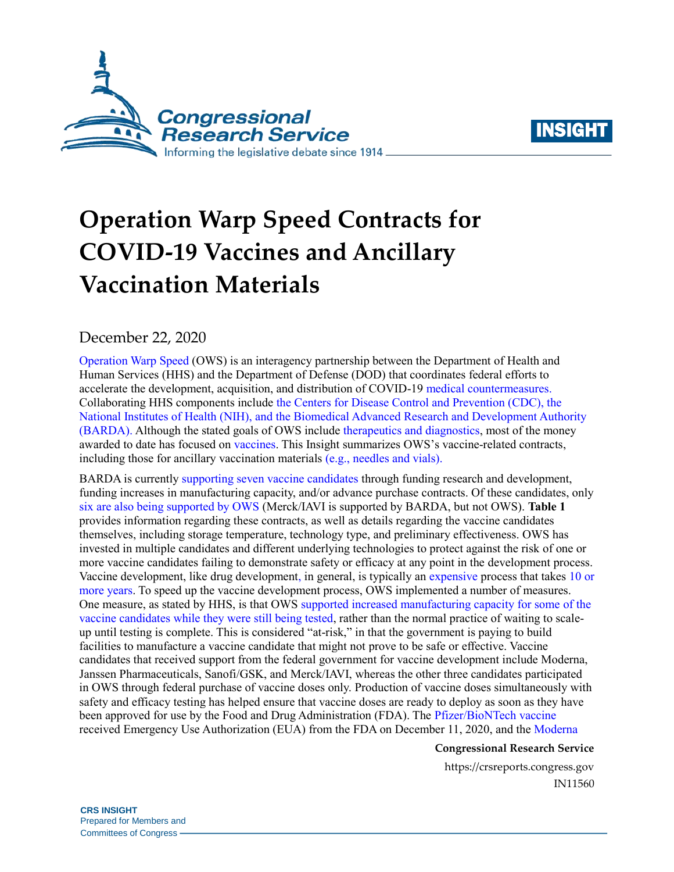



# **Operation Warp Speed Contracts for COVID-19 Vaccines and Ancillary Vaccination Materials**

December 22, 2020

[Operation Warp Speed](https://www.hhs.gov/coronavirus/explaining-operation-warp-speed/index.html) (OWS) is an interagency partnership between the Department of Health and Human Services (HHS) and the Department of Defense (DOD) that coordinates federal efforts to accelerate the development, acquisition, and distribution of COVID-19 [medical countermeasures.](https://crsreports.congress.gov/product/pdf/R/R46427) Collaborating HHS components include [the Centers for Disease Control and Prevention \(CDC\), the](https://www.hhs.gov/coronavirus/explaining-operation-warp-speed/index.html)  [National Institutes of Health \(NIH\), and the Biomedical Advanced Research and Development Authority](https://www.hhs.gov/coronavirus/explaining-operation-warp-speed/index.html)  [\(BARDA\).](https://www.hhs.gov/coronavirus/explaining-operation-warp-speed/index.html) Although the stated goals of OWS include [therapeutics and diagnostics,](https://www.defense.gov/Explore/Spotlight/Coronavirus/Operation-Warp-Speed/) most of the money awarded to date has focused on [vaccines.](https://www.gao.gov/products/GAO-21-207) This Insight summarizes OWS's vaccine-related contracts, including those for ancillary vaccination materials (e.g., needles and vials).

BARDA is currently [supporting seven vaccine candidates](https://www.medicalcountermeasures.gov/app/barda/coronavirus/COVID19.aspx?filter=vaccine) through funding research and development, funding increases in manufacturing capacity, and/or advance purchase contracts. Of these candidates, only [six are also being supported by OWS](https://www.gao.gov/reports/GAO-20-701/#appendix6) (Merck/IAVI is supported by BARDA, but not OWS). **[Table 1](#page-1-0)** provides information regarding these contracts, as well as details regarding the vaccine candidates themselves, including storage temperature, technology type, and preliminary effectiveness. OWS has invested in multiple candidates and different underlying technologies to protect against the risk of one or more vaccine candidates failing to demonstrate safety or efficacy at any point in the development process. Vaccine development, like drug development, in general, is typically an [expensive](https://jamanetwork.com/journals/jama/fullarticle/2762311) process that takes [10](https://www.cdc.gov/vaccinesafety/ensuringsafety/history/index.html) or [more years.](https://www.cdc.gov/vaccinesafety/ensuringsafety/history/index.html) To speed up the vaccine development process, OWS implemented a number of measures. One measure, as stated by HHS, is that OWS [supported increased manufacturing capacity for some of](https://www.hhs.gov/about/news/2020/05/15/trump-administration-announces-framework-and-leadership-for-operation-warp-speed.html) the [vaccine candidates while they were](https://www.hhs.gov/about/news/2020/05/15/trump-administration-announces-framework-and-leadership-for-operation-warp-speed.html) still being tested, rather than the normal practice of waiting to scaleup until testing is complete. This is considered "at-risk," in that the government is paying to build facilities to manufacture a vaccine candidate that might not prove to be safe or effective. Vaccine candidates that received support from the federal government for vaccine development include Moderna, Janssen Pharmaceuticals, Sanofi/GSK, and Merck/IAVI, whereas the other three candidates participated in OWS through federal purchase of vaccine doses only. Production of vaccine doses simultaneously with safety and efficacy testing has helped ensure that vaccine doses are ready to deploy as soon as they have been approved for use by the Food and Drug Administration (FDA). The [Pfizer/BioNTech vaccine](https://www.fda.gov/news-events/press-announcements/fda-takes-key-action-fight-against-covid-19-issuing-emergency-use-authorization-first-covid-19) received Emergency Use Authorization (EUA) from the FDA on December 11, 2020, and the [Moderna](https://www.fda.gov/news-events/press-announcements/fda-takes-additional-action-fight-against-covid-19-issuing-emergency-use-authorization-second-covid) 

### **Congressional Research Service**

https://crsreports.congress.gov IN11560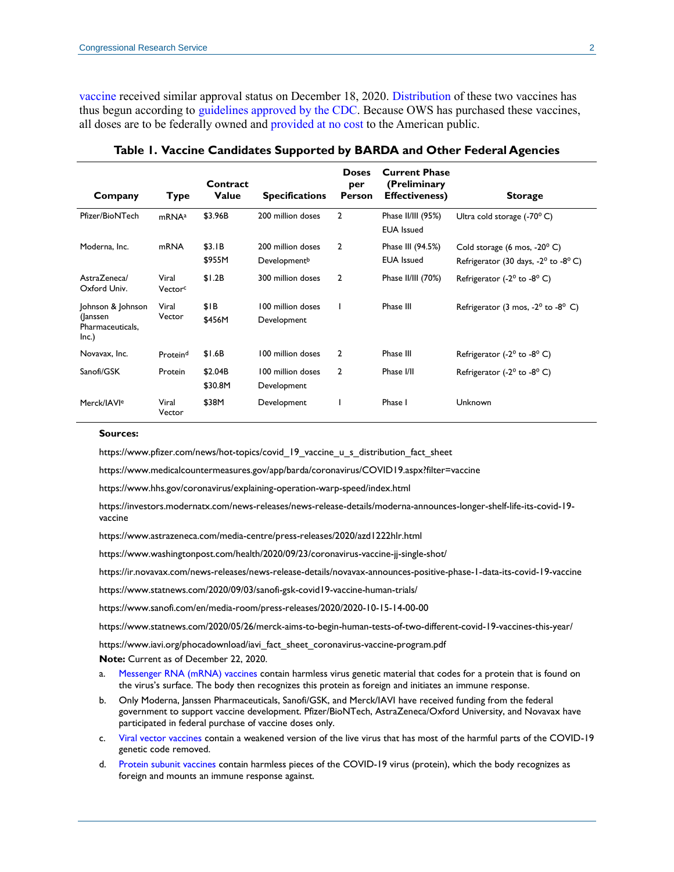[vaccine](https://www.fda.gov/news-events/press-announcements/fda-takes-additional-action-fight-against-covid-19-issuing-emergency-use-authorization-second-covid) received similar approval status on December 18, 2020. [Distribution](https://www.hhs.gov/sites/default/files/ows-vaccine-distribution-process.pdf) of these two vaccines has thus begun according to [guidelines approved by the CDC.](https://www.cdc.gov/coronavirus/2019-ncov/vaccines/recommendations-process.html) Because OWS has purchased these vaccines, all doses are to be federally owned and [provided at no cost](https://www.cdc.gov/coronavirus/2019-ncov/vaccines/8-things.html) to the American public.

<span id="page-1-0"></span>

| Company                                                     | Type                         | Contract<br><b>Value</b> | <b>Specifications</b>                         | <b>Doses</b><br>per<br><b>Person</b> | <b>Current Phase</b><br>(Preliminary<br><b>Effectiveness)</b> | <b>Storage</b>                                                                |
|-------------------------------------------------------------|------------------------------|--------------------------|-----------------------------------------------|--------------------------------------|---------------------------------------------------------------|-------------------------------------------------------------------------------|
| Pfizer/BioNTech                                             | mRNA <sup>a</sup>            | \$3.96B                  | 200 million doses                             | 2                                    | Phase II/III (95%)<br><b>EUA</b> Issued                       | Ultra cold storage $(-70^{\circ} C)$                                          |
| Moderna, Inc.                                               | mRNA                         | \$3.IB<br>\$955M         | 200 million doses<br>Development <sup>b</sup> | $\overline{2}$                       | Phase III (94.5%)<br><b>EUA</b> Issued                        | Cold storage (6 mos, $-20^{\circ}$ C)<br>Refrigerator (30 days, -2° to -8° C) |
| Astra7enecal<br>Oxford Univ.                                | Viral<br>Vector <sup>c</sup> | \$1.2B                   | 300 million doses                             | $\overline{2}$                       | Phase II/III (70%)                                            | Refrigerator (-2 $^{\circ}$ to -8 $^{\circ}$ C)                               |
| Johnson & Johnson<br>(Janssen)<br>Pharmaceuticals,<br>Inc.) | Viral<br>Vector              | \$IB<br>\$456M           | 100 million doses<br>Development              |                                      | Phase III                                                     | Refrigerator (3 mos, $-2^{\circ}$ to $-8^{\circ}$ C)                          |
| Novavax, Inc.                                               | Proteind                     | \$1.6B                   | 100 million doses                             | $\overline{2}$                       | Phase III                                                     | Refrigerator (-2 $^{\circ}$ to -8 $^{\circ}$ C)                               |
| Sanofi/GSK                                                  | Protein                      | \$2.04B<br>\$30.8M       | 100 million doses<br>Development              | $\overline{2}$                       | Phase I/II                                                    | Refrigerator (- $2^{\circ}$ to - $8^{\circ}$ C)                               |
| Merck/IAVI <sup>e</sup>                                     | Viral<br>Vector              | \$38M                    | Development                                   |                                      | Phase I                                                       | Unknown                                                                       |

**Table 1. Vaccine Candidates Supported by BARDA and Other Federal Agencies**

#### **Sources:**

https://www.pfizer.com/news/hot-topics/covid 19 vaccine u s distribution fact sheet

<https://www.medicalcountermeasures.gov/app/barda/coronavirus/COVID19.aspx?filter=vaccine>

<https://www.hhs.gov/coronavirus/explaining-operation-warp-speed/index.html>

[https://investors.modernatx.com/news-releases/news-release-details/moderna-announces-longer-shelf-life-its-covid-19](https://investors.modernatx.com/news-releases/news-release-details/moderna-announces-longer-shelf-life-its-covid-19-vaccine) [vaccine](https://investors.modernatx.com/news-releases/news-release-details/moderna-announces-longer-shelf-life-its-covid-19-vaccine)

<https://www.astrazeneca.com/media-centre/press-releases/2020/azd1222hlr.html>

<https://www.washingtonpost.com/health/2020/09/23/coronavirus-vaccine-jj-single-shot/>

<https://ir.novavax.com/news-releases/news-release-details/novavax-announces-positive-phase-1-data-its-covid-19-vaccine>

<https://www.statnews.com/2020/09/03/sanofi-gsk-covid19-vaccine-human-trials/>

<https://www.sanofi.com/en/media-room/press-releases/2020/2020-10-15-14-00-00>

<https://www.statnews.com/2020/05/26/merck-aims-to-begin-human-tests-of-two-different-covid-19-vaccines-this-year/>

[https://www.iavi.org/phocadownload/iavi\\_fact\\_sheet\\_coronavirus-vaccine-program.pdf](https://www.iavi.org/phocadownload/iavi_fact_sheet_coronavirus-vaccine-program.pdf)

**Note:** Current as of December 22, 2020.

- <span id="page-1-1"></span>a. [Messenger RNA \(mRNA\) vaccines](https://www.cdc.gov/coronavirus/2019-ncov/vaccines/different-vaccines/mrna.html) contain harmless virus genetic material that codes for a protein that is found on the virus's surface. The body then recognizes this protein as foreign and initiates an immune response.
- <span id="page-1-2"></span>b. Only Moderna, Janssen Pharmaceuticals, Sanofi/GSK, and Merck/IAVI have received funding from the federal government to support vaccine development. Pfizer/BioNTech, AstraZeneca/Oxford University, and Novavax have participated in federal purchase of vaccine doses only.
- <span id="page-1-3"></span>c. [Viral vector vaccines](https://www.cdc.gov/coronavirus/2019-ncov/vaccines/different-vaccines/how-they-work.html) contain a weakened version of the live virus that has most of the harmful parts of the COVID-19 genetic code removed.
- <span id="page-1-4"></span>d. [Protein subunit vaccines](https://www.cdc.gov/coronavirus/2019-ncov/vaccines/different-vaccines/how-they-work.html) contain harmless pieces of the COVID-19 virus (protein), which the body recognizes as foreign and mounts an immune response against.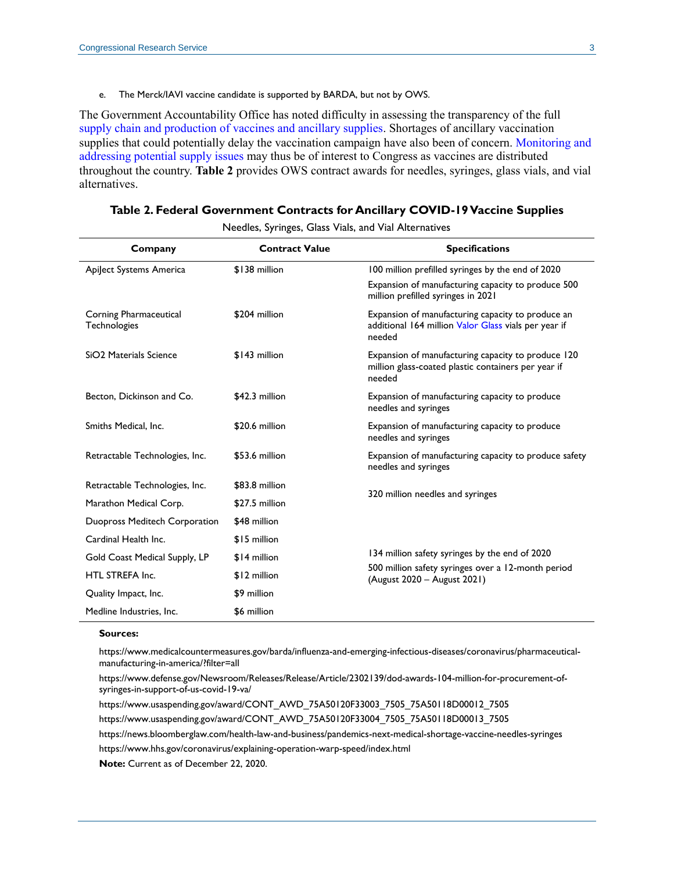e. The Merck/IAVI vaccine candidate is supported by BARDA, but not by OWS.

<span id="page-2-0"></span>The Government Accountability Office has noted difficulty in assessing the transparency of the full [supply chain and production of vaccines and ancillary supplies.](https://www.gao.gov/products/GAO-21-207) Shortages of ancillary vaccination supplies that could potentially delay the vaccination campaign have also been of concern. [Monitoring and](https://crsreports.congress.gov/product/pdf/IF/IF11648)  [addressing potential supply issues](https://crsreports.congress.gov/product/pdf/IF/IF11648) may thus be of interest to Congress as vaccines are distributed throughout the country. **[Table 2](#page-2-1)** provides OWS contract awards for needles, syringes, glass vials, and vial alternatives.

<span id="page-2-1"></span>**Table 2. Federal Government Contracts for Ancillary COVID-19 Vaccine Supplies**

Needles, Syringes, Glass Vials, and Vial Alternatives

| Company                                | <b>Contract Value</b> | <b>Specifications</b>                                                                                               |  |  |
|----------------------------------------|-----------------------|---------------------------------------------------------------------------------------------------------------------|--|--|
| Apiject Systems America                | \$138 million         | 100 million prefilled syringes by the end of 2020                                                                   |  |  |
|                                        |                       | Expansion of manufacturing capacity to produce 500<br>million prefilled syringes in 2021                            |  |  |
| Corning Pharmaceutical<br>Technologies | \$204 million         | Expansion of manufacturing capacity to produce an<br>additional 164 million Valor Glass vials per year if<br>needed |  |  |
| SiO <sub>2</sub> Materials Science     | \$143 million         | Expansion of manufacturing capacity to produce 120<br>million glass-coated plastic containers per year if<br>needed |  |  |
| Becton, Dickinson and Co.              | \$42.3 million        | Expansion of manufacturing capacity to produce<br>needles and syringes                                              |  |  |
| Smiths Medical, Inc.                   | \$20.6 million        | Expansion of manufacturing capacity to produce<br>needles and syringes                                              |  |  |
| Retractable Technologies, Inc.         | \$53.6 million        | Expansion of manufacturing capacity to produce safety<br>needles and syringes                                       |  |  |
| Retractable Technologies, Inc.         | \$83.8 million        | 320 million needles and syringes                                                                                    |  |  |
| Marathon Medical Corp.                 | \$27.5 million        |                                                                                                                     |  |  |
| Duopross Meditech Corporation          | \$48 million          |                                                                                                                     |  |  |
| Cardinal Health Inc.                   | \$15 million          |                                                                                                                     |  |  |
| Gold Coast Medical Supply, LP          | \$14 million          | 134 million safety syringes by the end of 2020                                                                      |  |  |
| HTL STREFA Inc.                        | \$12 million          | 500 million safety syringes over a 12-month period<br>(August 2020 - August 2021)                                   |  |  |
| Quality Impact, Inc.                   | \$9 million           |                                                                                                                     |  |  |
| Medline Industries, Inc.               | \$6 million           |                                                                                                                     |  |  |

#### **Sources:**

[https://www.medicalcountermeasures.gov/barda/influenza-and-emerging-infectious-diseases/coronavirus/pharmaceutical](https://www.medicalcountermeasures.gov/barda/influenza-and-emerging-infectious-diseases/coronavirus/pharmaceutical-manufacturing-in-america/?filter=all)[manufacturing-in-america/?filter=all](https://www.medicalcountermeasures.gov/barda/influenza-and-emerging-infectious-diseases/coronavirus/pharmaceutical-manufacturing-in-america/?filter=all)

[https://www.defense.gov/Newsroom/Releases/Release/Article/2302139/dod-awards-104-million-for-procurement-of](https://www.defense.gov/Newsroom/Releases/Release/Article/2302139/dod-awards-104-million-for-procurement-of-syringes-in-support-of-us-covid-19-va/)[syringes-in-support-of-us-covid-19-va/](https://www.defense.gov/Newsroom/Releases/Release/Article/2302139/dod-awards-104-million-for-procurement-of-syringes-in-support-of-us-covid-19-va/)

[https://www.usaspending.gov/award/CONT\\_AWD\\_75A50120F33003\\_7505\\_75A50118D00012\\_7505](https://www.usaspending.gov/award/CONT_AWD_75A50120F33003_7505_75A50118D00012_7505) [https://www.usaspending.gov/award/CONT\\_AWD\\_75A50120F33004\\_7505\\_75A50118D00013\\_7505](https://www.usaspending.gov/award/CONT_AWD_75A50120F33004_7505_75A50118D00013_7505) <https://news.bloomberglaw.com/health-law-and-business/pandemics-next-medical-shortage-vaccine-needles-syringes> <https://www.hhs.gov/coronavirus/explaining-operation-warp-speed/index.html>

**Note:** Current as of December 22, 2020.